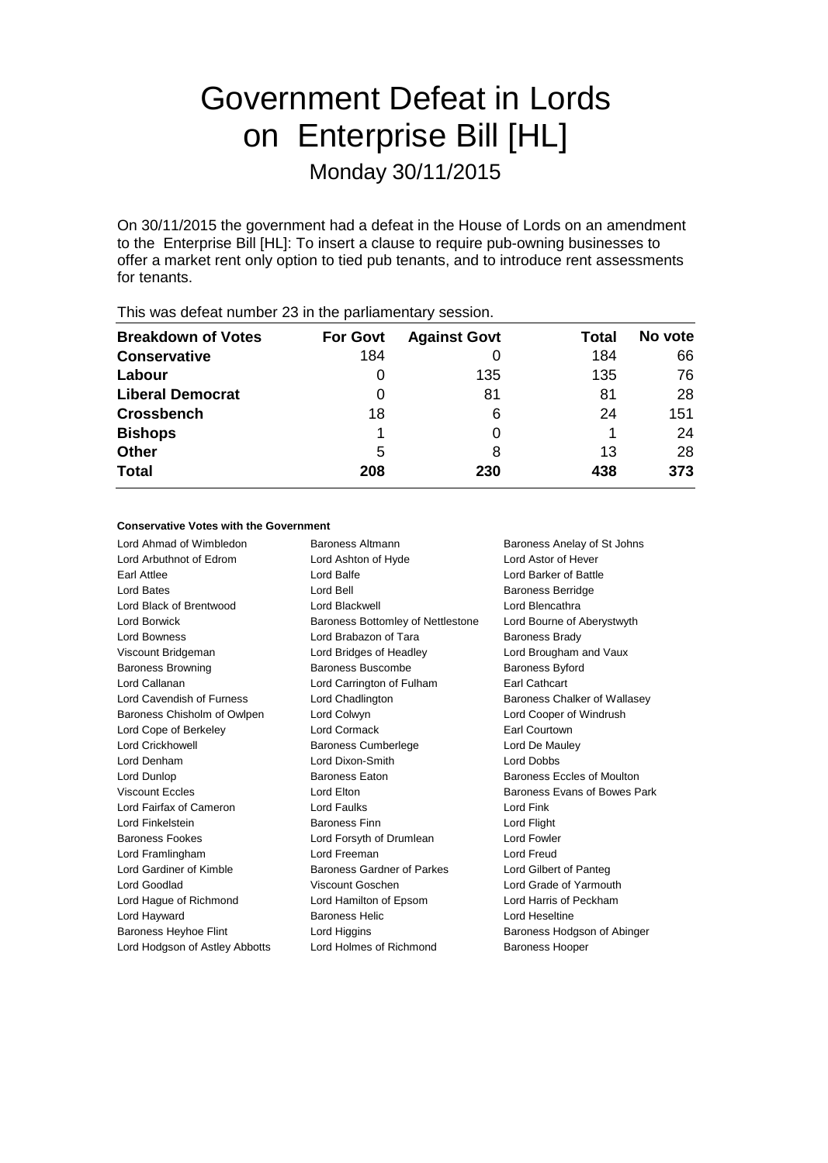# Government Defeat in Lords on Enterprise Bill [HL] Monday 30/11/2015

On 30/11/2015 the government had a defeat in the House of Lords on an amendment to the Enterprise Bill [HL]: To insert a clause to require pub-owning businesses to offer a market rent only option to tied pub tenants, and to introduce rent assessments for tenants.

| <b>Breakdown of Votes</b> | <b>For Govt</b> | <b>Against Govt</b> | Total | No vote |
|---------------------------|-----------------|---------------------|-------|---------|
| Conservative              | 184             |                     | 184   | 66      |
| Labour                    | 0               | 135                 | 135   | 76      |
| <b>Liberal Democrat</b>   | 0               | 81                  | 81    | 28      |
| <b>Crossbench</b>         | 18              | 6                   | 24    | 151     |
| <b>Bishops</b>            |                 |                     |       | 24      |
| <b>Other</b>              | 5               | 8                   | 13    | 28      |
| <b>Total</b>              | 208             | 230                 | 438   | 373     |
|                           |                 |                     |       |         |

# This was defeat number 23 in the parliamentary session.

### **Conservative Votes with the Government**

Lord Ahmad of Wimbledon Baroness Altmann Baroness Anelay of St Johns Lord Arbuthnot of Edrom Lord Ashton of Hyde Lord Astor of Hever Earl Attlee **Lord Balfe** Lord Balfe Lord Battle Lord Barker of Battle Lord Bates Lord Bell Baroness Berridge Lord Black of Brentwood Lord Blackwell Lord Blencathra Lord Borwick **Baroness Bottomley of Nettlestone** Lord Bourne of Aberystwyth Lord Bowness **Lord Brabazon of Tara** Baroness Brady Viscount Bridgeman Lord Bridges of Headley Lord Brougham and Vaux Baroness Browning **Baroness Buscombe** Baroness Byford Lord Callanan Lord Carrington of Fulham Earl Cathcart Lord Cavendish of Furness **Lord Chadlington** Baroness Chalker of Wallasev Baroness Chisholm of Owlpen Lord Colwyn Lord Cooper of Windrush Lord Cope of Berkeley Lord Cormack Earl Courtown Lord Crickhowell Baroness Cumberlege Lord De Mauley Lord Denham Lord Dixon-Smith Lord Dobbs Lord Dunlop Baroness Eaton Baroness Eccles of Moulton Viscount Eccles **Lord Elton** Lord Elton Baroness Evans of Bowes Park Lord Fairfax of Cameron Lord Faulks Lord Fink Lord Finkelstein Baroness Finn Lord Flight Baroness Fookes Lord Forsyth of Drumlean Lord Fowler Lord Framlingham Lord Freeman Lord Freud Lord Gardiner of Kimble **Baroness Gardner of Parkes** Lord Gilbert of Panteg Lord Goodlad Viscount Goschen Lord Grade of Yarmouth Lord Hague of Richmond Lord Hamilton of Epsom Lord Harris of Peckham Lord Hayward **Baroness Helic** Lord Heseltine Baroness Heyhoe Flint Lord Higgins **Baroness Hodgson of Abinger** Lord Hodgson of Astley Abbotts Lord Holmes of Richmond Baroness Hooper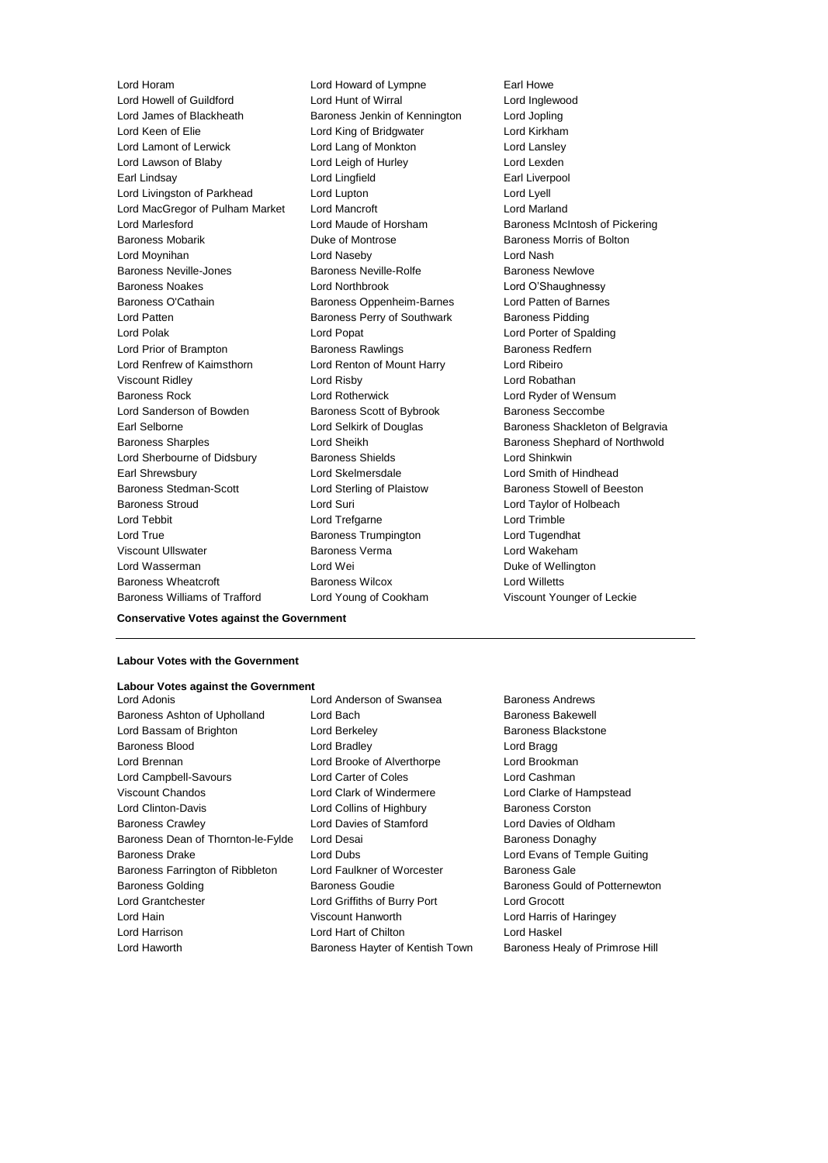Lord Howell of Guildford Lord Hunt of Wirral Lord Inglewood Lord James of Blackheath Baroness Jenkin of Kennington Lord Jopling Lord Keen of Elie Lord King of Bridgwater Lord Kirkham Lord Lamont of Lerwick Lord Lang of Monkton Lord Lansley Lord Lawson of Blaby **Lord Leigh of Hurley** Lord Lexden Earl Lindsay **Earl Lingfield** Earl Liverpool Lord Livingston of Parkhead Lord Lupton Lord Lupton Lord Lyell Lord MacGregor of Pulham Market Lord Mancroft **Lord Manual Lord Marland** Lord Marlesford Lord Maude of Horsham Baroness McIntosh of Pickering Baroness Mobarik **Duke of Montrose Baroness Morris of Bolton** Lord Moynihan **Lord Naseby** Lord Naseby **Lord Nash** Baroness Neville-Jones Baroness Neville-Rolfe Baroness Newlove Baroness Noakes Lord Northbrook Lord O'Shaughnessy Baroness O'Cathain Baroness Oppenheim-Barnes Lord Patten of Barnes Lord Patten **Baroness Perry of Southwark** Baroness Pidding Lord Polak Lord Popat Lord Porter of Spalding Lord Prior of Brampton **Baroness Rawlings** Baroness Redfern Lord Renfrew of Kaimsthorn Lord Renton of Mount Harry Lord Ribeiro Viscount Ridley Lord Risby Lord Robathan Baroness Rock Lord Rotherwick Lord Ryder of Wensum Lord Sanderson of Bowden Baroness Scott of Bybrook Baroness Seccombe Earl Selborne **Lord Selkirk of Douglas** Baroness Shackleton of Belgravia Baroness Sharples **Lord Sheikh** Baroness Shephard of Northwold Lord Sherbourne of Didsbury **Baroness Shields** Lord Shinkwin Earl Shrewsbury Lord Skelmersdale Lord Smith of Hindhead Baroness Stedman-Scott Lord Sterling of Plaistow Baroness Stowell of Beeston Baroness Stroud Lord Suri Lord Taylor of Holbeach Lord Tebbit Lord Trefgarne Lord Trimble Lord True Baroness Trumpington Lord Tugendhat Viscount Ullswater Baroness Verma Lord Wakeham Lord Wasserman **Lord Wei** Duke of Wellington Baroness Wheatcroft Baroness Wilcox Lord Willetts

Lord Horam Lord Howard of Lympne Earl Howe Baroness Williams of Trafford Lord Young of Cookham Viscount Younger of Leckie

**Conservative Votes against the Government**

## **Labour Votes with the Government**

#### **Labour Votes against the Government**

- Baroness Ashton of Upholland Lord Bach Baroness Bakewell Lord Bassam of Brighton **Lord Berkeley Baroness Blackstone** Baroness Blood **Lord Bradley Lord Bradley Lord Bragg** Lord Brennan Lord Brooke of Alverthorpe Lord Brookman Lord Campbell-Savours Lord Carter of Coles Lord Cashman<br>
Viscount Chandos Clark Clark Clark of Lord Clark Clarke of Lord Clarke of Lord Clarke of Lord Clarke of I Lord Clinton-Davis **Lord Collins of Highbury** Baroness Corston Baroness Crawley Lord Davies of Stamford Lord Davies of Oldham Baroness Dean of Thornton-le-Fylde Lord Desai **Baroness Danaghy** Baroness Donaghy Baroness Drake Lord Dubs Lord Evans of Temple Guiting Baroness Farrington of Ribbleton Lord Faulkner of Worcester Baroness Gale Baroness Golding **Baroness Goudie** Baroness Gould of Potternewton Lord Grantchester Lord Griffiths of Burry Port Lord Grocott Lord Hain Viscount Hanworth Lord Harris of Haringey Lord Harrison Lord Hart of Chilton Lord Haskel
- Lord Clark of Windermere Lord Clarke of Hampstead
- Lord Adonis Lord Anderson of Swansea Baroness Andrews Lord Haworth Baroness Hayter of Kentish Town Baroness Healy of Primrose Hill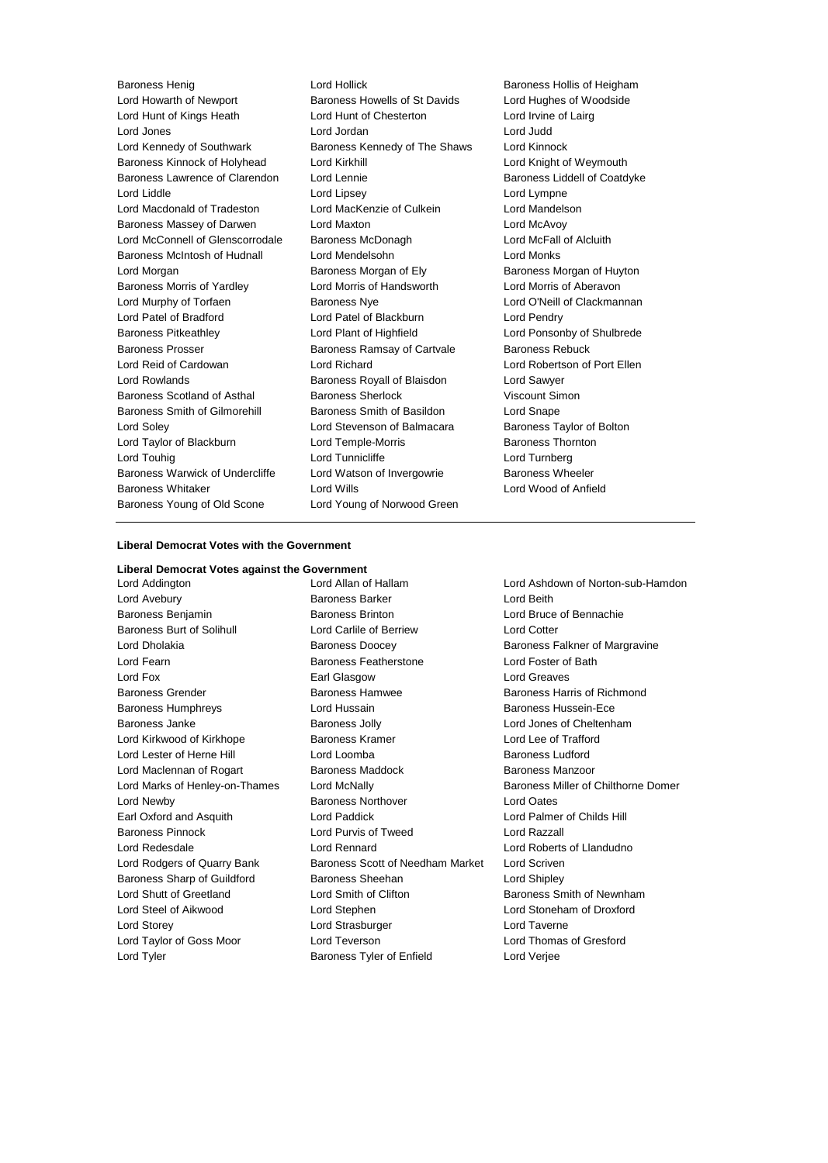Baroness Henig **Exercise State Controllers** Lord Hollick **Baroness Hollis of Heigham** Lord Howarth of Newport Baroness Howells of St Davids Lord Hughes of Woodside Lord Hunt of Kings Heath Lord Hunt of Chesterton Lord Irvine of Lairg Lord Jones Lord Jordan Lord Judd Lord Kennedy of Southwark Baroness Kennedy of The Shaws Lord Kinnock Baroness Kinnock of Holyhead Lord Kirkhill Lord Knight of Weymouth Baroness Lawrence of Clarendon Lord Lennie **Baroness Laddell of Coatdyke** Lord Liddle Lord Lipsey Lord Lympne Lord Macdonald of Tradeston Lord MacKenzie of Culkein Lord Mandelson Baroness Massey of Darwen Lord Maxton Lord McAvoy Lord McConnell of Glenscorrodale Baroness McDonagh Lord McFall of Alcluith Baroness McIntosh of Hudnall Lord Mendelsohn Lord Monks Lord Morgan **Baroness Morgan of Ely** Baroness Morgan of Huyton Baroness Morris of Yardley Lord Morris of Handsworth Lord Morris of Aberavon Lord Murphy of Torfaen Baroness Nye Lord O'Neill of Clackmannan Lord Patel of Bradford Lord Patel of Blackburn Lord Pendry Baroness Pitkeathley Lord Plant of Highfield Lord Ponsonby of Shulbrede Baroness Prosser **Baroness Ramsay of Cartvale** Baroness Rebuck Lord Reid of Cardowan Lord Richard Lord Robertson of Port Ellen Lord Rowlands Baroness Royall of Blaisdon Lord Sawyer Baroness Scotland of Asthal Baroness Sherlock Viscount Simon Baroness Smith of Gilmorehill Baroness Smith of Basildon Lord Snape Lord Soley Lord Stevenson of Balmacara Baroness Taylor of Bolton Lord Taylor of Blackburn **Lord Temple-Morris** Baroness Thornton Lord Touhig Lord Tunnicliffe Lord Turnberg Baroness Warwick of Undercliffe Lord Watson of Invergowrie Baroness Wheeler Baroness Whitaker Lord Wills Lord Wood of Anfield Baroness Young of Old Scone Lord Young of Norwood Green

## **Liberal Democrat Votes with the Government**

#### **Liberal Democrat Votes against the Government**

Lord Addington Lord Allan of Hallam Lord Ashdown of Norton-sub-Hamdon Lord Avebury **Baroness Barker** Cord Beith Baroness Barker **Lord Beith** Baroness Benjamin Baroness Brinton Lord Bruce of Bennachie Baroness Burt of Solihull Lord Carlile of Berriew Lord Cotter Lord Dholakia **Baroness Doocey** Baroness Doocey Baroness Falkner of Margravine Lord Fearn Baroness Featherstone Lord Foster of Bath Lord Fox **Earl Glasgow** Earl Glasgow Lord Greaves Baroness Grender Baroness Hamwee Baroness Harris of Richmond Baroness Humphreys **Lord Hussain** Lord Hussain Baroness Hussein-Ece Baroness Janke Baroness Jolly Lord Jones of Cheltenham Lord Kirkwood of Kirkhope **Baroness Kramer Baroness Kramer** Lord Lee of Trafford Lord Lester of Herne Hill **Lord Loomba** Lord Loomba Baroness Ludford Lord Maclennan of Rogart **Baroness Maddock** Baroness Manzoor Lord Newby Baroness Northover Lord Oates Earl Oxford and Asquith Lord Paddick Lord Palmer of Childs Hill Baroness Pinnock Lord Purvis of Tweed Lord Razzall Lord Redesdale Lord Rennard Lord Roberts of Llandudno Lord Rodgers of Quarry Bank Baroness Scott of Needham Market Lord Scriven Baroness Sharp of Guildford Baroness Sheehan Lord Shipley Lord Shutt of Greetland Lord Smith of Clifton Baroness Smith of Newnham Lord Steel of Aikwood Lord Stephen Lord Stoneham of Droxford Lord Storey Lord Strasburger Lord Taverne Lord Taylor of Goss Moor Lord Teverson Lord Thomas of Gresford Lord Tyler Baroness Tyler of Enfield Lord Verjee

Lord Marks of Henley-on-Thames Lord McNally Baroness Miller of Chilthorne Domer